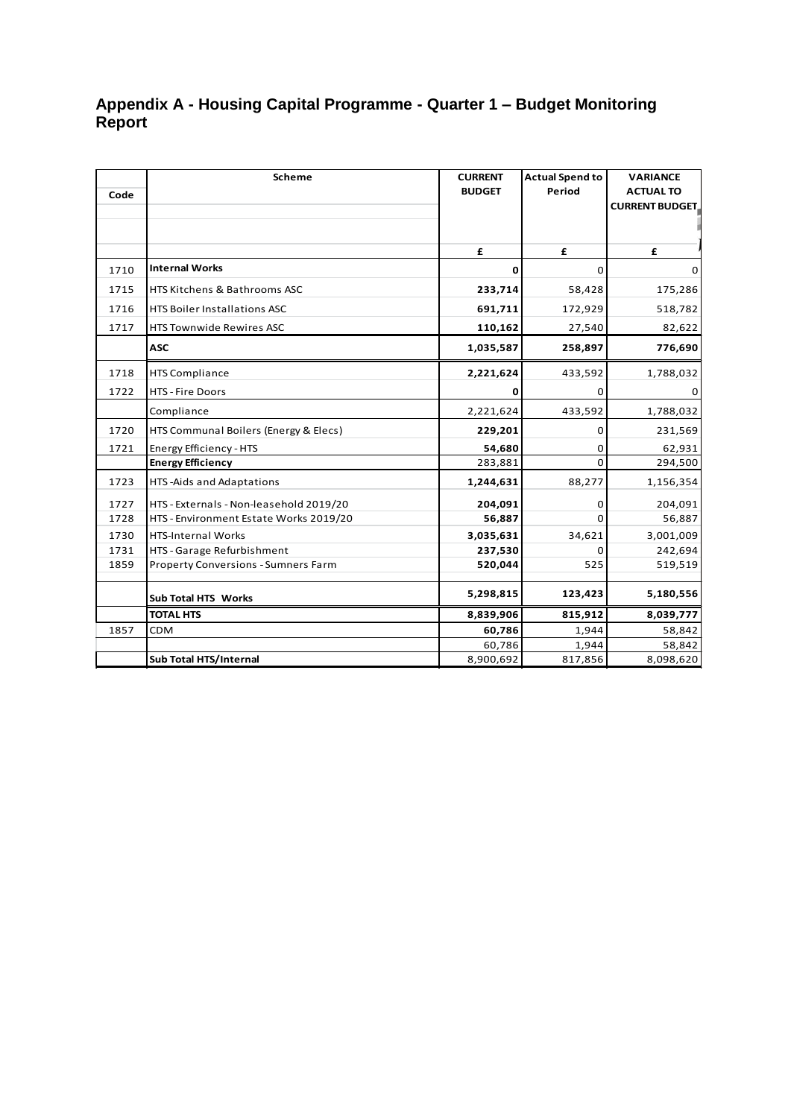## **Appendix A - Housing Capital Programme - Quarter 1 – Budget Monitoring Report**

|      | <b>Scheme</b>                              | <b>CURRENT</b> | <b>Actual Spend to</b> | <b>VARIANCE</b>        |
|------|--------------------------------------------|----------------|------------------------|------------------------|
| Code |                                            | <b>BUDGET</b>  | Period                 | <b>ACTUAL TO</b>       |
|      |                                            |                |                        | <b>CURRENT BUDGET,</b> |
|      |                                            |                |                        |                        |
|      |                                            | £              | £                      | £                      |
| 1710 | <b>Internal Works</b>                      | $\mathbf 0$    | 0                      | 0                      |
| 1715 | HTS Kitchens & Bathrooms ASC               | 233,714        | 58,428                 | 175,286                |
| 1716 | HTS Boiler Installations ASC               | 691,711        | 172,929                | 518,782                |
| 1717 | <b>HTS Townwide Rewires ASC</b>            | 110,162        | 27,540                 | 82,622                 |
|      | <b>ASC</b>                                 | 1,035,587      | 258,897                | 776,690                |
| 1718 | <b>HTS Compliance</b>                      | 2,221,624      | 433,592                | 1,788,032              |
| 1722 | <b>HTS - Fire Doors</b>                    | 0              | 0                      | 0                      |
|      | Compliance                                 | 2,221,624      | 433,592                | 1,788,032              |
| 1720 | HTS Communal Boilers (Energy & Elecs)      | 229,201        | 0                      | 231,569                |
| 1721 | Energy Efficiency - HTS                    | 54,680         | 0                      | 62,931                 |
|      | <b>Energy Efficiency</b>                   | 283,881        | $\Omega$               | 294,500                |
| 1723 | HTS-Aids and Adaptations                   | 1,244,631      | 88,277                 | 1,156,354              |
| 1727 | HTS - Externals - Non-leasehold 2019/20    | 204,091        | 0                      | 204,091                |
| 1728 | HTS - Environment Estate Works 2019/20     | 56,887         | O                      | 56,887                 |
| 1730 | <b>HTS-Internal Works</b>                  | 3,035,631      | 34,621                 | 3,001,009              |
| 1731 | HTS - Garage Refurbishment                 | 237,530        | 0                      | 242,694                |
| 1859 | <b>Property Conversions - Sumners Farm</b> | 520,044        | 525                    | 519,519                |
|      | Sub Total HTS Works                        | 5,298,815      | 123,423                | 5,180,556              |
|      | <b>TOTAL HTS</b>                           | 8,839,906      | 815,912                | 8,039,777              |
| 1857 | <b>CDM</b>                                 | 60,786         | 1,944                  | 58,842                 |
|      |                                            | 60,786         | 1,944                  | 58,842                 |
|      | Sub Total HTS/Internal                     | 8,900,692      | 817,856                | 8,098,620              |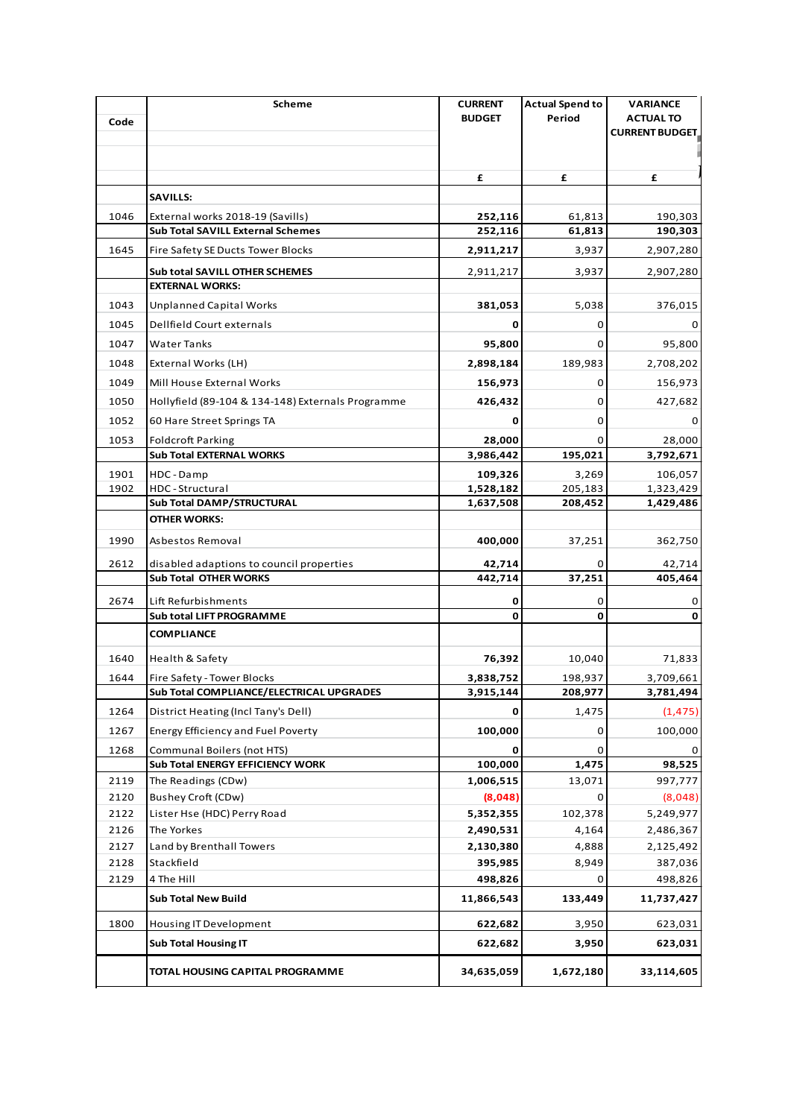|      | Scheme                                                                | <b>CURRENT</b>     | <b>Actual Spend to</b> | VARIANCE              |
|------|-----------------------------------------------------------------------|--------------------|------------------------|-----------------------|
| Code |                                                                       | <b>BUDGET</b>      | Period                 | <b>ACTUAL TO</b>      |
|      |                                                                       |                    |                        | <b>CURRENT BUDGET</b> |
|      |                                                                       |                    |                        |                       |
|      |                                                                       | £                  | £                      | £                     |
|      | <b>SAVILLS:</b>                                                       |                    |                        |                       |
|      |                                                                       |                    |                        |                       |
| 1046 | External works 2018-19 (Savills)<br>Sub Total SAVILL External Schemes | 252,116<br>252,116 | 61,813<br>61,813       | 190,303<br>190,303    |
|      |                                                                       |                    |                        |                       |
| 1645 | Fire Safety SE Ducts Tower Blocks                                     | 2,911,217          | 3,937                  | 2,907,280             |
|      | Sub total SAVILL OTHER SCHEMES                                        | 2,911,217          | 3,937                  | 2,907,280             |
|      | <b>EXTERNAL WORKS:</b>                                                |                    |                        |                       |
| 1043 | <b>Unplanned Capital Works</b>                                        | 381,053            | 5,038                  | 376,015               |
| 1045 | Dellfield Court externals                                             | 0                  | 0                      | 0                     |
| 1047 | Water Tanks                                                           | 95,800             | 0                      | 95,800                |
| 1048 | External Works (LH)                                                   | 2,898,184          | 189,983                | 2,708,202             |
| 1049 | Mill House External Works                                             | 156,973            | 0                      | 156,973               |
| 1050 | Hollyfield (89-104 & 134-148) Externals Programme                     | 426,432            | 0                      | 427,682               |
| 1052 | 60 Hare Street Springs TA                                             | 0                  | 0                      | 0                     |
| 1053 | <b>Foldcroft Parking</b>                                              | 28,000             | 0                      | 28,000                |
|      | <b>Sub Total EXTERNAL WORKS</b>                                       | 3,986,442          | 195,021                | 3,792,671             |
| 1901 | HDC - Damp                                                            | 109,326            | 3,269                  | 106,057               |
| 1902 | HDC - Structural                                                      | 1,528,182          | 205,183                | 1,323,429             |
|      | Sub Total DAMP/STRUCTURAL                                             | 1,637,508          | 208,452                | 1,429,486             |
|      | OTHER WORKS:                                                          |                    |                        |                       |
| 1990 | Asbestos Removal                                                      | 400,000            | 37,251                 | 362,750               |
| 2612 | disabled adaptions to council properties                              | 42,714             | 0                      | 42,714                |
|      | <b>Sub Total OTHER WORKS</b>                                          | 442,714            | 37,251                 | 405,464               |
| 2674 | Lift Refurbishments                                                   | 0                  | 0                      | 0                     |
|      | Sub total LIFT PROGRAMME                                              | 0                  | 0                      | 0                     |
|      | <b>COMPLIANCE</b>                                                     |                    |                        |                       |
| 1640 | Health & Safety                                                       | 76,392             | 10,040                 | 71,833                |
| 1644 | Fire Safety - Tower Blocks                                            | 3,838,752          | 198,937                | 3,709,661             |
|      | Sub Total COMPLIANCE/ELECTRICAL UPGRADES                              | 3,915,144          | 208,977                | 3,781,494             |
| 1264 | District Heating (Incl Tany's Dell)                                   | 0                  | 1,475                  | (1, 475)              |
| 1267 | <b>Energy Efficiency and Fuel Poverty</b>                             | 100,000            | 0                      | 100,000               |
| 1268 | Communal Boilers (not HTS)                                            | 0                  | 0                      | 0                     |
|      | Sub Total ENERGY EFFICIENCY WORK                                      | 100,000            | 1,475                  | 98,525                |
| 2119 | The Readings (CDw)                                                    | 1,006,515          | 13,071                 | 997,777               |
| 2120 | Bushey Croft (CDw)                                                    | (8,048)            | 0                      | (8,048)               |
| 2122 | Lister Hse (HDC) Perry Road                                           | 5,352,355          | 102,378                | 5,249,977             |
| 2126 | The Yorkes                                                            | 2,490,531          | 4,164                  | 2,486,367             |
| 2127 | Land by Brenthall Towers                                              | 2,130,380          | 4,888                  | 2,125,492             |
| 2128 | Stackfield                                                            | 395,985            | 8,949                  | 387,036               |
| 2129 | 4 The Hill                                                            | 498,826            | 0                      | 498,826               |
|      | <b>Sub Total New Build</b>                                            | 11,866,543         | 133,449                | 11,737,427            |
| 1800 | Housing IT Development                                                | 622,682            | 3,950                  | 623,031               |
|      | <b>Sub Total Housing IT</b>                                           | 622,682            | 3,950                  | 623,031               |
|      | TOTAL HOUSING CAPITAL PROGRAMME                                       | 34,635,059         | 1,672,180              | 33,114,605            |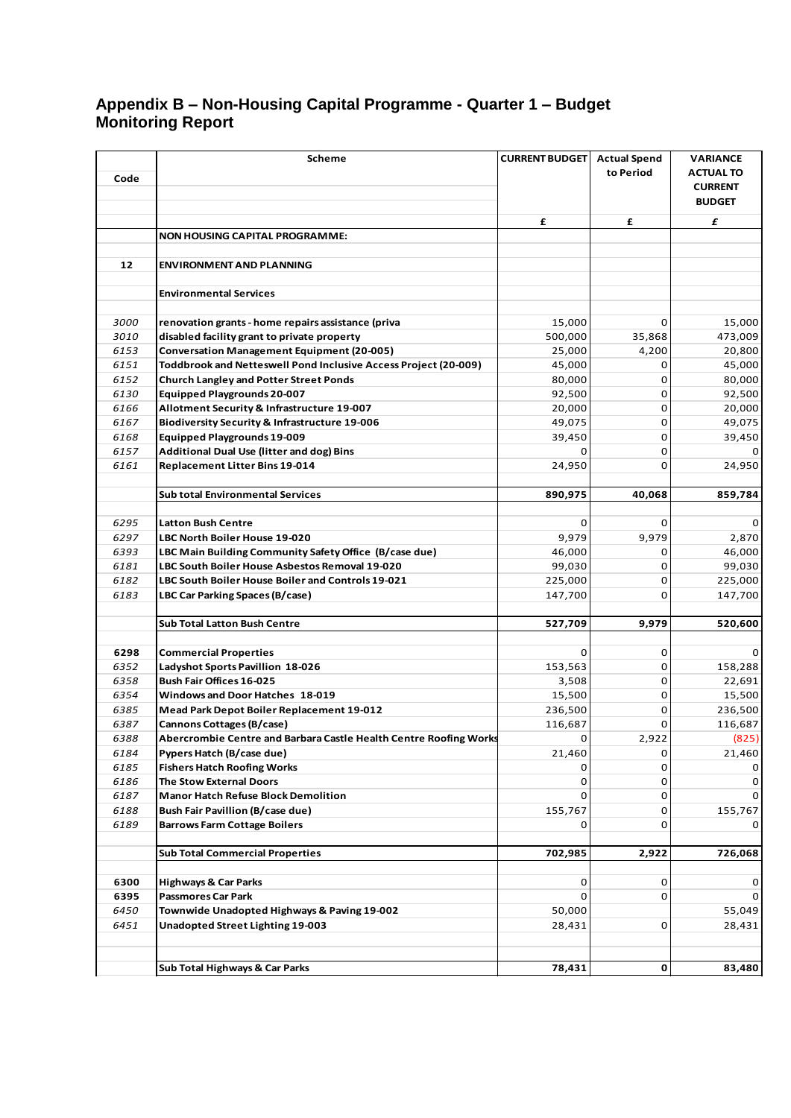## **Appendix B – Non-Housing Capital Programme - Quarter 1 – Budget Monitoring Report**

| Code         | <b>Scheme</b>                                                                       | <b>CURRENT BUDGET</b> | <b>Actual Spend</b><br>to Period | VARIANCE<br><b>ACTUAL TO</b><br><b>CURRENT</b><br><b>BUDGET</b> |
|--------------|-------------------------------------------------------------------------------------|-----------------------|----------------------------------|-----------------------------------------------------------------|
|              |                                                                                     | £                     | £                                | £                                                               |
|              | <b>NON HOUSING CAPITAL PROGRAMME:</b>                                               |                       |                                  |                                                                 |
|              |                                                                                     |                       |                                  |                                                                 |
| 12           | <b>ENVIRONMENT AND PLANNING</b>                                                     |                       |                                  |                                                                 |
|              |                                                                                     |                       |                                  |                                                                 |
|              | <b>Environmental Services</b>                                                       |                       |                                  |                                                                 |
|              |                                                                                     |                       |                                  |                                                                 |
| 3000         | renovation grants - home repairs assistance (priva                                  | 15,000                | 0                                | 15,000                                                          |
| 3010         | disabled facility grant to private property                                         | 500,000               | 35,868                           | 473,009                                                         |
| 6153         | <b>Conversation Management Equipment (20-005)</b>                                   | 25,000                | 4,200                            | 20,800                                                          |
| 6151<br>6152 | Toddbrook and Netteswell Pond Inclusive Access Project (20-009)                     | 45,000                | 0<br>0                           | 45,000                                                          |
| 6130         | <b>Church Langley and Potter Street Ponds</b><br><b>Equipped Playgrounds 20-007</b> | 80,000<br>92,500      | 0                                | 80,000<br>92,500                                                |
| 6166         | Allotment Security & Infrastructure 19-007                                          | 20,000                | 0                                | 20,000                                                          |
| 6167         | <b>Biodiversity Security &amp; Infrastructure 19-006</b>                            | 49,075                | $\mathbf 0$                      | 49,075                                                          |
| 6168         | <b>Equipped Playgrounds 19-009</b>                                                  | 39,450                | 0                                | 39,450                                                          |
| 6157         | <b>Additional Dual Use (litter and dog) Bins</b>                                    | 0                     | 0                                | 0                                                               |
| 6161         | Replacement Litter Bins 19-014                                                      | 24,950                | 0                                | 24,950                                                          |
|              |                                                                                     |                       |                                  |                                                                 |
|              | <b>Sub total Environmental Services</b>                                             | 890,975               | 40,068                           | 859,784                                                         |
|              |                                                                                     |                       |                                  |                                                                 |
| 6295         | <b>Latton Bush Centre</b>                                                           | 0                     | 0                                | 0                                                               |
| 6297         | LBC North Boiler House 19-020                                                       | 9,979                 | 9,979                            | 2,870                                                           |
| 6393         | LBC Main Building Community Safety Office (B/case due)                              | 46,000                | 0                                | 46,000                                                          |
| 6181         | LBC South Boiler House Asbestos Removal 19-020                                      | 99,030                | 0                                | 99,030                                                          |
| 6182         | LBC South Boiler House Boiler and Controls 19-021                                   | 225,000               | 0                                | 225,000                                                         |
| 6183         | LBC Car Parking Spaces (B/case)                                                     | 147,700               | $\Omega$                         | 147,700                                                         |
|              |                                                                                     |                       |                                  |                                                                 |
|              | <b>Sub Total Latton Bush Centre</b>                                                 | 527,709               | 9,979                            | 520,600                                                         |
|              |                                                                                     |                       |                                  |                                                                 |
| 6298         | <b>Commercial Properties</b>                                                        | 0                     | 0                                | 0                                                               |
| 6352         | Ladyshot Sports Pavillion 18-026<br>Bush Fair Offices 16-025                        | 153,563               | 0                                | 158,288                                                         |
| 6358<br>6354 | Windows and Door Hatches 18-019                                                     | 3,508<br>15,500       | 0<br>$\mathbf 0$                 | 22,691<br>15,500                                                |
| 6385         | Mead Park Depot Boiler Replacement 19-012                                           | 236,500               | 0                                | 236,500                                                         |
| 6387         | Cannons Cottages (B/case)                                                           | 116,687               | 0                                | 116,687                                                         |
| 6388         | Abercrombie Centre and Barbara Castle Health Centre Roofing Works                   | 0                     | 2,922                            | (825)                                                           |
| 6184         | Pypers Hatch (B/case due)                                                           | 21,460                | 0                                | 21,460                                                          |
| 6185         | <b>Fishers Hatch Roofing Works</b>                                                  | 0                     | 0                                |                                                                 |
| 6186         | <b>The Stow External Doors</b>                                                      | 0                     | 0                                | 0                                                               |
| 6187         | <b>Manor Hatch Refuse Block Demolition</b>                                          | 0                     | 0                                | 0                                                               |
| 6188         | <b>Bush Fair Pavillion (B/case due)</b>                                             | 155,767               | 0                                | 155,767                                                         |
| 6189         | <b>Barrows Farm Cottage Boilers</b>                                                 | 0                     | 0                                | 0                                                               |
|              |                                                                                     |                       |                                  |                                                                 |
|              | <b>Sub Total Commercial Properties</b>                                              | 702,985               | 2,922                            | 726,068                                                         |
|              |                                                                                     |                       |                                  |                                                                 |
| 6300         | <b>Highways &amp; Car Parks</b>                                                     | 0                     | 0                                | 0                                                               |
| 6395         | <b>Passmores Car Park</b>                                                           | 0                     | 0                                | 0                                                               |
| 6450<br>6451 | Townwide Unadopted Highways & Paving 19-002                                         | 50,000                | 0                                | 55,049                                                          |
|              | Unadopted Street Lighting 19-003                                                    | 28,431                |                                  | 28,431                                                          |
|              |                                                                                     |                       |                                  |                                                                 |
|              | Sub Total Highways & Car Parks                                                      | 78,431                | 0                                | 83,480                                                          |
|              |                                                                                     |                       |                                  |                                                                 |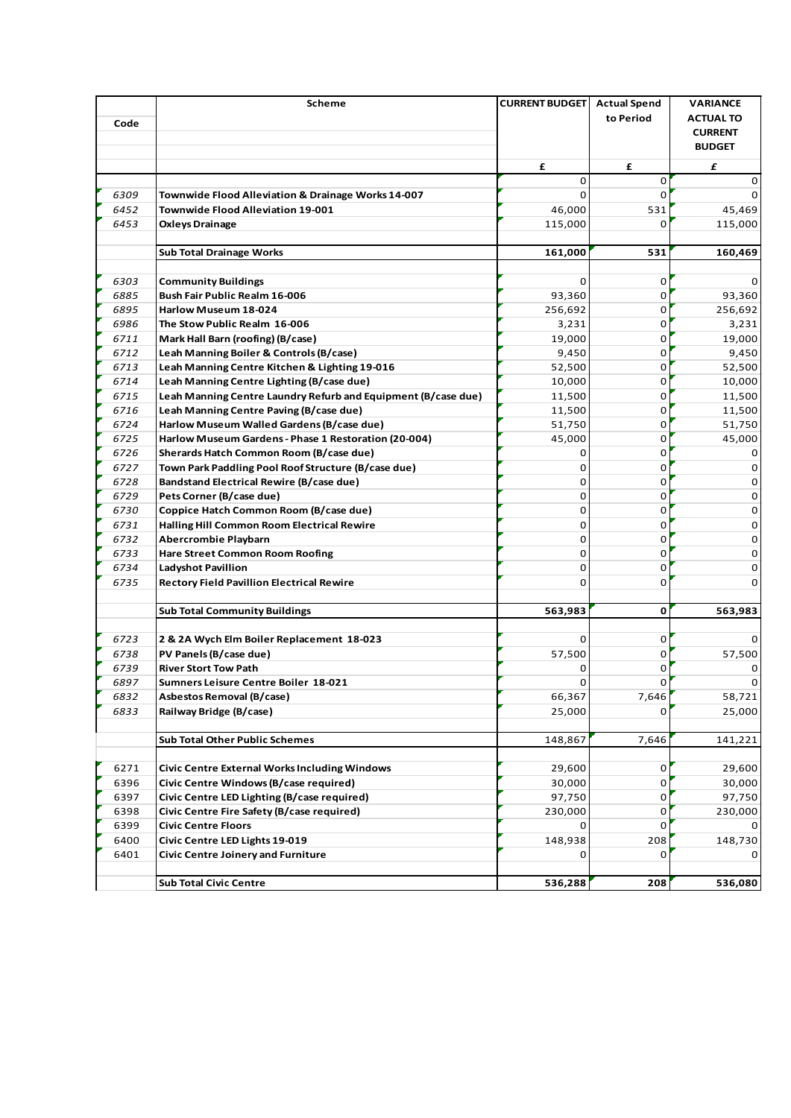| Code         | <b>Scheme</b>                                                      | <b>CURRENT BUDGET</b> Actual Spend | to Period | <b>VARIANCE</b><br><b>ACTUAL TO</b><br><b>CURRENT</b><br><b>BUDGET</b> |
|--------------|--------------------------------------------------------------------|------------------------------------|-----------|------------------------------------------------------------------------|
|              |                                                                    | £                                  | £         | £                                                                      |
|              |                                                                    | 0                                  | 0         | 0                                                                      |
| 6309         | Townwide Flood Alleviation & Drainage Works 14-007                 | $\Omega$                           | $\Omega$  | 0                                                                      |
| 6452         | <b>Townwide Flood Alleviation 19-001</b>                           | 46,000                             | 531       | 45,469                                                                 |
| 6453         | <b>Oxleys Drainage</b>                                             | 115,000                            | 0         | 115,000                                                                |
|              | <b>Sub Total Drainage Works</b>                                    | 161,000                            | 531       | 160,469                                                                |
| 6303         | <b>Community Buildings</b>                                         | $\Omega$                           | $\Omega$  | 0                                                                      |
| 6885         | Bush Fair Public Realm 16-006                                      | 93,360                             | 0         | 93,360                                                                 |
| 6895         | Harlow Museum 18-024                                               | 256,692                            | 0         | 256,692                                                                |
| 6986         | The Stow Public Realm 16-006                                       | 3,231                              | 0         | 3,231                                                                  |
| 6711         | Mark Hall Barn (roofing) (B/case)                                  | 19,000                             | 0         | 19,000                                                                 |
| 6712         | Leah Manning Boiler & Controls (B/case)                            | 9,450                              | 0         | 9,450                                                                  |
| 6713         | Leah Manning Centre Kitchen & Lighting 19-016                      | 52,500                             | 0         | 52,500                                                                 |
| 6714         | Leah Manning Centre Lighting (B/case due)                          | 10,000                             | 0         | 10,000                                                                 |
| 6715         | Leah Manning Centre Laundry Refurb and Equipment (B/case due)      | 11,500                             | 0         | 11,500                                                                 |
| 6716         | Leah Manning Centre Paving (B/case due)                            | 11,500                             | 0         | 11,500                                                                 |
| 6724         | Harlow Museum Walled Gardens (B/case due)                          | 51,750                             | 0         | 51,750                                                                 |
| 6725         | Harlow Museum Gardens - Phase 1 Restoration (20-004)               | 45,000                             | 0         | 45,000                                                                 |
| 6726         | Sherards Hatch Common Room (B/case due)                            | 0                                  | 0         | 0                                                                      |
| 6727         | Town Park Paddling Pool Roof Structure (B/case due)                | 0                                  | 0         | 0                                                                      |
| 6728         | <b>Bandstand Electrical Rewire (B/case due)</b>                    | 0                                  | 0         | 0                                                                      |
| 6729<br>6730 | Pets Corner (B/case due)<br>Coppice Hatch Common Room (B/case due) | 0                                  | 0         | 0                                                                      |
|              |                                                                    | 0<br>0                             | 0<br>0    | 0<br>0                                                                 |
| 6731<br>6732 | Halling Hill Common Room Electrical Rewire<br>Abercrombie Playbarn | 0                                  | 0         | 0                                                                      |
| 6733         | <b>Hare Street Common Room Roofing</b>                             | 0                                  | 0         | 0                                                                      |
| 6734         | <b>Ladyshot Pavillion</b>                                          | 0                                  | 0         | 0                                                                      |
| 6735         | <b>Rectory Field Pavillion Electrical Rewire</b>                   | 0                                  | 0         | 0                                                                      |
|              |                                                                    |                                    | 0         |                                                                        |
|              | <b>Sub Total Community Buildings</b>                               | 563,983                            |           | 563,983                                                                |
| 6723         | 2 & 2A Wych Elm Boiler Replacement 18-023                          | $\Omega$                           | 0         | 0                                                                      |
| 6738         | PV Panels (B/case due)                                             | 57,500                             | 0         | 57,500                                                                 |
| 6739         | <b>River Stort Tow Path</b>                                        | 0                                  | 0         | 0                                                                      |
| 6897         | Sumners Leisure Centre Boiler 18-021                               | 0                                  | 0         | 0                                                                      |
| 6832         | Asbestos Removal (B/case)                                          | 66,367                             | 7,646     | 58,721                                                                 |
| 6833         | Railway Bridge (B/case)                                            | 25,000                             | 0         | 25,000                                                                 |
|              |                                                                    |                                    |           |                                                                        |
|              | <b>Sub Total Other Public Schemes</b>                              | 148,867                            | 7,646     | 141,221                                                                |
| 6271         | <b>Civic Centre External Works Including Windows</b>               | 29,600                             | 0         | 29,600                                                                 |
| 6396         | Civic Centre Windows (B/case required)                             | 30,000                             | 0         | 30,000                                                                 |
| 6397         | Civic Centre LED Lighting (B/case required)                        | 97,750                             | 0         | 97,750                                                                 |
| 6398         | Civic Centre Fire Safety (B/case required)                         | 230,000                            | 0         | 230,000                                                                |
| 6399         | <b>Civic Centre Floors</b>                                         | 0                                  | 0         |                                                                        |
| 6400         | Civic Centre LED Lights 19-019                                     | 148,938                            | 208       | 148,730                                                                |
| 6401         | <b>Civic Centre Joinery and Furniture</b>                          | 0                                  | $\Omega$  | 0                                                                      |
|              |                                                                    |                                    |           |                                                                        |
|              | <b>Sub Total Civic Centre</b>                                      | 536,288                            | 208       | 536,080                                                                |